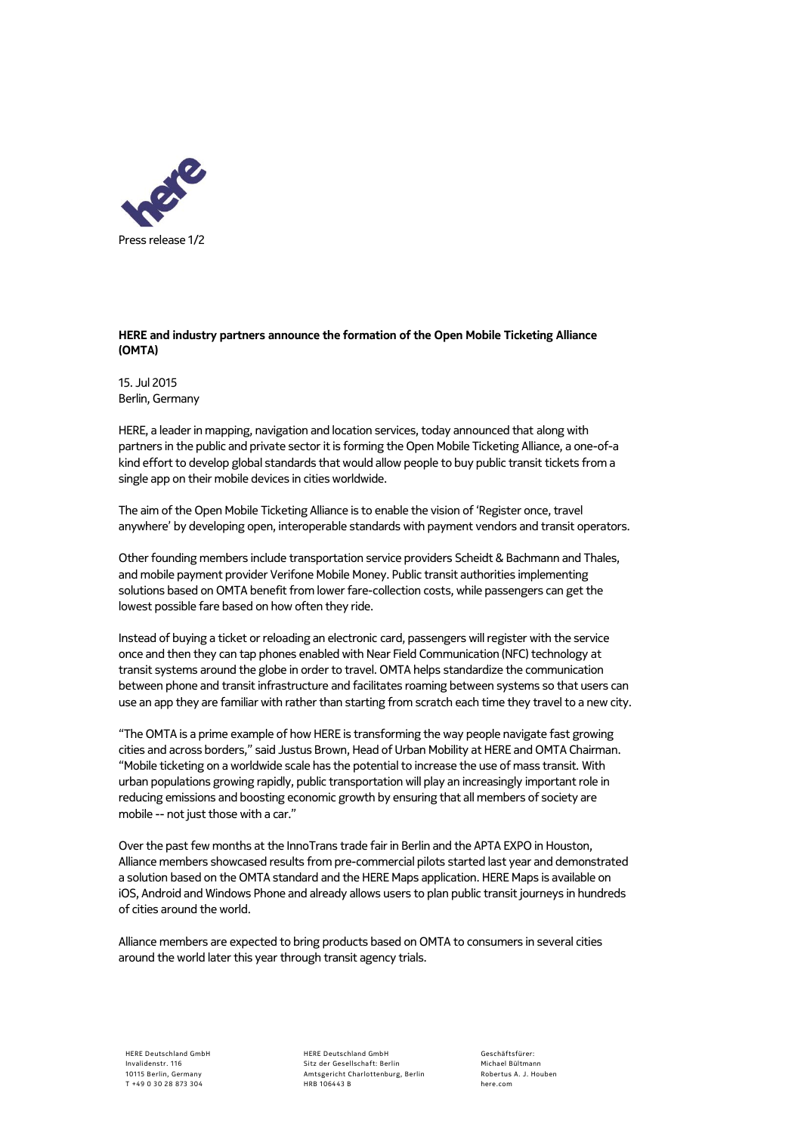

## **HERE and industry partners announce the formation of the Open Mobile Ticketing Alliance (OMTA)**

15. Jul 2015 Berlin, Germany

HERE, a leader in mapping, navigation and location services, today announced that along with partners in the public and private sector it is forming the Open Mobile Ticketing Alliance, a one-of-a kind effort to develop global standards that would allow people to buy public transit tickets from a single app on their mobile devices in cities worldwide.

The aim of the Open Mobile Ticketing Alliance is to enable the vision of 'Register once, travel anywhere' by developing open, interoperable standards with payment vendors and transit operators.

Other founding members include transportation service providers Scheidt & Bachmann and Thales, and mobile payment provider Verifone Mobile Money. Public transit authorities implementing solutions based on OMTA benefit from lower fare-collection costs, while passengers can get the lowest possible fare based on how often they ride.

Instead of buying a ticket or reloading an electronic card, passengers will register with the service once and then they can tap phones enabled with Near Field Communication (NFC) technology at transit systems around the globe in order to travel. OMTA helps standardize the communication between phone and transit infrastructure and facilitates roaming between systems so that users can use an app they are familiar with rather than starting from scratch each time they travel to a new city.

"The OMTA is a prime example of how HERE is transforming the way people navigate fast growing cities and across borders," said Justus Brown, Head of Urban Mobility at HERE and OMTA Chairman. "Mobile ticketing on a worldwide scale has the potential to increase the use of mass transit. With urban populations growing rapidly, public transportation will play an increasingly important role in reducing emissions and boosting economic growth by ensuring that all members of society are mobile -- not just those with a car."

Over the past few months at the InnoTrans trade fair in Berlin and the APTA EXPO in Houston, Alliance members showcased results from pre-commercial pilots started last year and demonstrated a solution based on the OMTA standard and the HERE Maps application. HERE Maps is available on iOS, Android and Windows Phone and already allows users to plan public transit journeys in hundreds of cities around the world.

Alliance members are expected to bring products based on OMTA to consumers in several cities around the world later this year through transit agency trials.

HERE Deutschland GmbH Sitz der Gesellschaft: Berlin Amtsgericht Charlottenburg, Berlin HRB 106443 B

Geschäftsfürer: Michael Bültmann Robertus A. J. Houben here.com